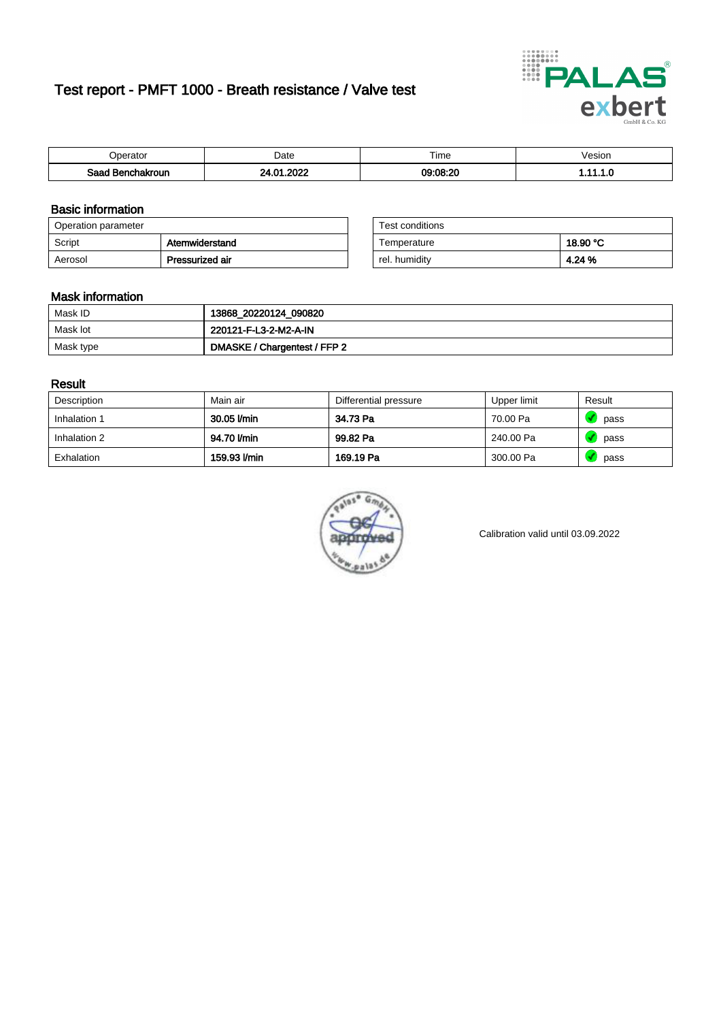# Test report - PMFT 1000 - Breath resistance / Valve test



| Inaratai<br>aator           | Date      | $- \cdot$<br><b>Time</b> | esion |
|-----------------------------|-----------|--------------------------|-------|
| Saad<br><b>chakroun</b><br> | റററ<br>n. | 09:08:20                 | .     |

### Basic information

| Operation parameter |                 | Test conditions |          |
|---------------------|-----------------|-----------------|----------|
| Script              | Atemwiderstand  | Temperature     | 18.90 °C |
| Aerosol             | Pressurized air | rel. humidity   | 4.24 %   |

| Test conditions |          |
|-----------------|----------|
| Temperature     | 18.90 °C |
| rel. humidity   | 4.24 %   |

### Mask information

| Mask ID   | 13868_20220124_090820        |
|-----------|------------------------------|
| Mask lot  | 220121-F-L3-2-M2-A-IN        |
| Mask type | DMASKE / Chargentest / FFP 2 |

### Result

| Description  | Main air     | Differential pressure | Upper limit | Result |
|--------------|--------------|-----------------------|-------------|--------|
| Inhalation 1 | 30.05 l/min  | 34.73 Pa              | 70.00 Pa    | pass   |
| Inhalation 2 | 94.70 l/min  | 99.82 Pa              | 240.00 Pa   | pass   |
| Exhalation   | 159.93 l/min | 169.19 Pa             | 300.00 Pa   | pass   |



Calibration valid until 03.09.2022